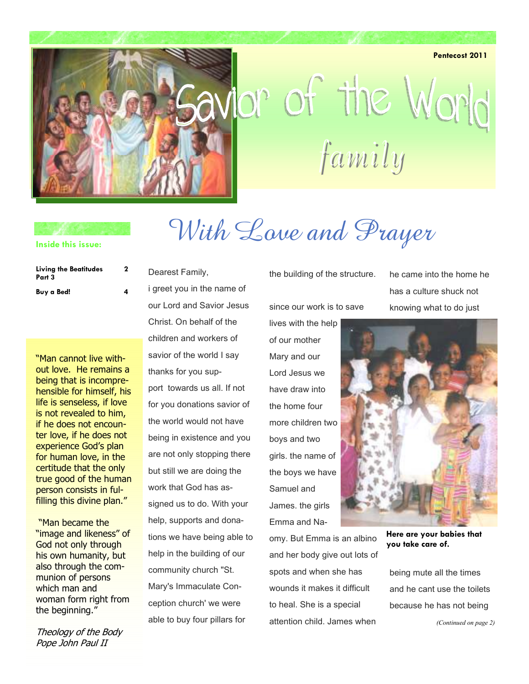**Pentecost 2011** 



# lor of the World family

#### **Inside this issue:**

| <b>Living the Beatitudes</b><br>Part 3<br>Buy a Bed! | 2 |
|------------------------------------------------------|---|
|                                                      | 4 |

"Man cannot live without love. He remains a being that is incomprehensible for himself, his life is senseless, if love is not revealed to him, if he does not encounter love, if he does not experience God's plan for human love, in the certitude that the only true good of the human person consists in fulfilling this divine plan."

 "Man became the "image and likeness" of God not only through his own humanity, but also through the communion of persons which man and woman form right from the beginning."

Theology of the Body Pope John Paul II

Dearest Family, i greet you in the name of our Lord and Savior Jesus Christ. On behalf of the children and workers of savior of the world I say thanks for you support towards us all. If not

for you donations savior of the world would not have being in existence and you are not only stopping there but still we are doing the work that God has assigned us to do. With your help, supports and donations we have being able to help in the building of our community church "St. Mary's Immaculate Conception church' we were able to buy four pillars for

the building of the structure.

With Love and Prayer

since our work is to save

lives with the help of our mother Mary and our Lord Jesus we have draw into the home four more children two boys and two girls. the name of the boys we have Samuel and James. the girls Emma and Na-

omy. But Emma is an albino and her body give out lots of spots and when she has wounds it makes it difficult to heal. She is a special attention child. James when

he came into the home he has a culture shuck not knowing what to do just



**Here are your babies that you take care of.** 

being mute all the times and he cant use the toilets because he has not being *(Continued on page 2)*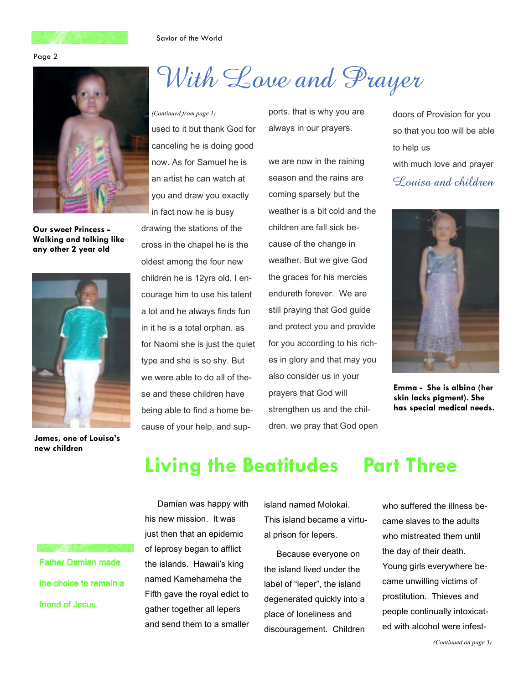#### Savior of the World





**Our sweet Princess - Walking and talking like any other 2 year old** 



**James, one of Louisa's new children** 

## With Love and Prayer

used to it but thank God for canceling he is doing good now. As for Samuel he is an artist he can watch at you and draw you exactly in fact now he is busy *(Continued from page 1)* ports. that is why you are

drawing the stations of the cross in the chapel he is the oldest among the four new children he is 12yrs old. I encourage him to use his talent a lot and he always finds fun in it he is a total orphan. as for Naomi she is just the quiet type and she is so shy. But we were able to do all of these and these children have being able to find a home because of your help, and supalways in our prayers.

we are now in the raining season and the rains are coming sparsely but the weather is a bit cold and the children are fall sick because of the change in weather. But we give God the graces for his mercies endureth forever. We are still praying that God guide and protect you and provide for you according to his riches in glory and that may you also consider us in your prayers that God will strengthen us and the children. we pray that God open doors of Provision for you so that you too will be able to help us with much love and prayer Louisa and children



**Emma - She is albino (her skin lacks pigment). She has special medical needs.** 

## **Living the Beatitudes Part Three**

Father Damian made the choice to remain a friend of Jesus.

Damian was happy with his new mission. It was just then that an epidemic of leprosy began to afflict the islands. Hawaii's king named Kamehameha the Fifth gave the royal edict to gather together all lepers and send them to a smaller island named Molokai. This island became a virtual prison for lepers.

Because everyone on the island lived under the label of "leper", the island degenerated quickly into a place of loneliness and discouragement. Children

### who suffered the illness became slaves to the adults who mistreated them until the day of their death. Young girls everywhere became unwilling victims of prostitution. Thieves and people continually intoxicated with alcohol were infest-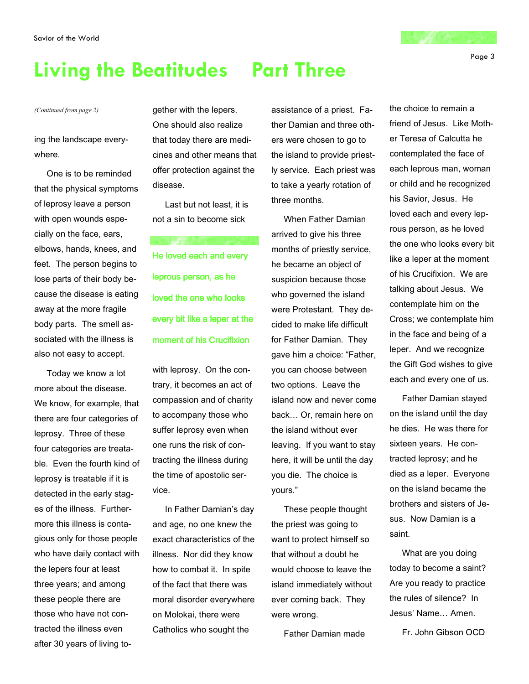## **Living the Beatitudes Part Three**

#### *(Continued from page 2)* **gether with the lepers.**

ing the landscape everywhere.

One is to be reminded that the physical symptoms of leprosy leave a person with open wounds especially on the face, ears, elbows, hands, knees, and feet. The person begins to lose parts of their body because the disease is eating away at the more fragile body parts. The smell associated with the illness is also not easy to accept.

Today we know a lot more about the disease. We know, for example, that there are four categories of leprosy. Three of these four categories are treatable. Even the fourth kind of leprosy is treatable if it is detected in the early stages of the illness. Furthermore this illness is contagious only for those people who have daily contact with the lepers four at least three years; and among these people there are those who have not contracted the illness even after 30 years of living to-

One should also realize that today there are medicines and other means that offer protection against the disease.

Last but not least, it is not a sin to become sick

He loved each and every leprous person, as he loved the one who looks every bit like a leper at the moment of his Crucifixion

with leprosy. On the contrary, it becomes an act of compassion and of charity to accompany those who suffer leprosy even when one runs the risk of contracting the illness during the time of apostolic service.

In Father Damian's day and age, no one knew the exact characteristics of the illness. Nor did they know how to combat it. In spite of the fact that there was moral disorder everywhere on Molokai, there were Catholics who sought the

assistance of a priest. Father Damian and three others were chosen to go to the island to provide priestly service. Each priest was to take a yearly rotation of three months.

When Father Damian arrived to give his three months of priestly service, he became an object of suspicion because those who governed the island were Protestant. They decided to make life difficult for Father Damian. They gave him a choice: "Father, you can choose between two options. Leave the island now and never come back… Or, remain here on the island without ever leaving. If you want to stay here, it will be until the day you die. The choice is yours."

These people thought the priest was going to want to protect himself so that without a doubt he would choose to leave the island immediately without ever coming back. They were wrong.

Father Damian made

the choice to remain a friend of Jesus. Like Mother Teresa of Calcutta he contemplated the face of each leprous man, woman or child and he recognized his Savior, Jesus. He loved each and every leprous person, as he loved the one who looks every bit like a leper at the moment of his Crucifixion. We are talking about Jesus. We contemplate him on the Cross; we contemplate him in the face and being of a leper. And we recognize the Gift God wishes to give each and every one of us.

Father Damian stayed on the island until the day he dies. He was there for sixteen years. He contracted leprosy; and he died as a leper. Everyone on the island became the brothers and sisters of Jesus. Now Damian is a saint.

What are you doing today to become a saint? Are you ready to practice the rules of silence? In Jesus' Name… Amen.

Fr. John Gibson OCD